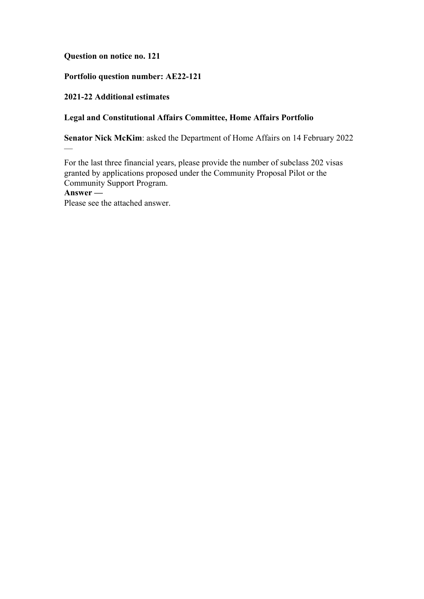## **Question on notice no. 121**

# **Portfolio question number: AE22-121**

## **2021-22 Additional estimates**

—

## **Legal and Constitutional Affairs Committee, Home Affairs Portfolio**

**Senator Nick McKim**: asked the Department of Home Affairs on 14 February 2022

For the last three financial years, please provide the number of subclass 202 visas granted by applications proposed under the Community Proposal Pilot or the Community Support Program. **Answer —** Please see the attached answer.